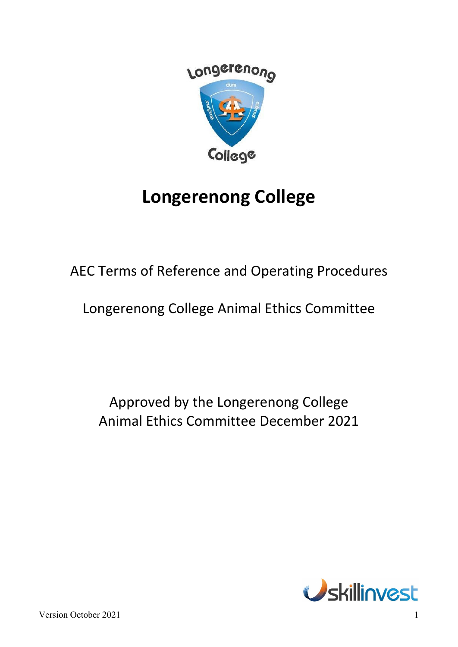

# **Longerenong College**

AEC Terms of Reference and Operating Procedures

Longerenong College Animal Ethics Committee

Approved by the Longerenong College Animal Ethics Committee December 2021

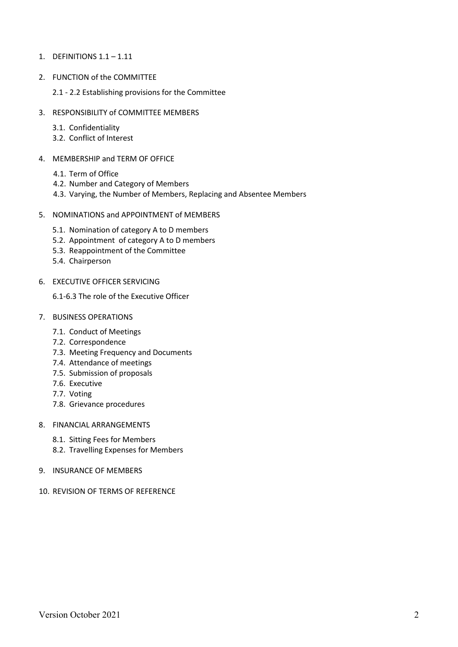- 1. DEFINITIONS 1.1 1.11
- 2. FUNCTION of the COMMITTEE
	- 2.1 2.2 Establishing provisions for the Committee
- 3. RESPONSIBILITY of COMMITTEE MEMBERS
	- 3.1. Confidentiality
	- 3.2. Conflict of Interest
- 4. MEMBERSHIP and TERM OF OFFICE
	- 4.1. Term of Office
	- 4.2. Number and Category of Members
	- 4.3. Varying, the Number of Members, Replacing and Absentee Members
- 5. NOMINATIONS and APPOINTMENT of MEMBERS
	- 5.1. Nomination of category A to D members
	- 5.2. Appointment of category A to D members
	- 5.3. Reappointment of the Committee
	- 5.4. Chairperson
- 6. EXECUTIVE OFFICER SERVICING

6.1-6.3 The role of the Executive Officer

- 7. BUSINESS OPERATIONS
	- 7.1. Conduct of Meetings
	- 7.2. Correspondence
	- 7.3. Meeting Frequency and Documents
	- 7.4. Attendance of meetings
	- 7.5. Submission of proposals
	- 7.6. Executive
	- 7.7. Voting
	- 7.8. Grievance procedures
- 8. FINANCIAL ARRANGEMENTS
	- 8.1. Sitting Fees for Members
	- 8.2. Travelling Expenses for Members
- 9. INSURANCE OF MEMBERS
- 10. REVISION OF TERMS OF REFERENCE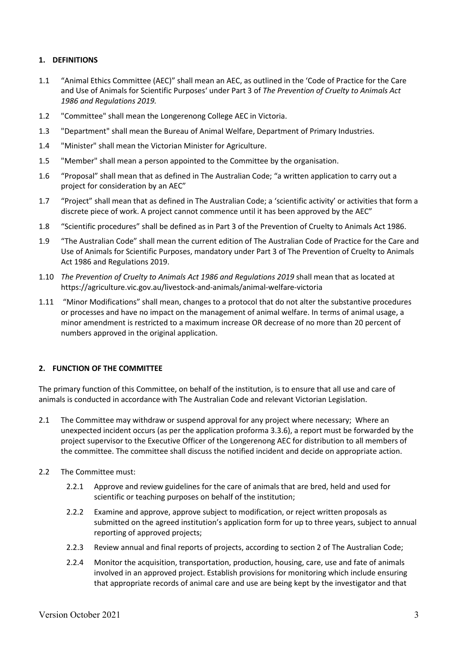## **1. DEFINITIONS**

- 1.1 "Animal Ethics Committee (AEC)" shall mean an AEC, as outlined in the 'Code of Practice for the Care and Use of Animals for Scientific Purposes' under Part 3 of *The Prevention of Cruelty to Animals Act 1986 and Regulations 2019.*
- 1.2 "Committee" shall mean the Longerenong College AEC in Victoria.
- 1.3 "Department" shall mean the Bureau of Animal Welfare, Department of Primary Industries.
- 1.4 "Minister" shall mean the Victorian Minister for Agriculture.
- 1.5 "Member" shall mean a person appointed to the Committee by the organisation.
- 1.6 "Proposal" shall mean that as defined in The Australian Code; "a written application to carry out a project for consideration by an AEC"
- 1.7 "Project" shall mean that as defined in The Australian Code; a 'scientific activity' or activities that form a discrete piece of work. A project cannot commence until it has been approved by the AEC"
- 1.8 "Scientific procedures" shall be defined as in Part 3 of the Prevention of Cruelty to Animals Act 1986.
- 1.9 "The Australian Code" shall mean the current edition of The Australian Code of Practice for the Care and Use of Animals for Scientific Purposes, mandatory under Part 3 of The Prevention of Cruelty to Animals Act 1986 and Regulations 2019.
- 1.10 *The Prevention of Cruelty to Animals Act 1986 and Regulations 2019* shall mean that as located at https://agriculture.vic.gov.au/livestock-and-animals/animal-welfare-victoria
- 1.11 "Minor Modifications" shall mean, changes to a protocol that do not alter the substantive procedures or processes and have no impact on the management of animal welfare. In terms of animal usage, a minor amendment is restricted to a maximum increase OR decrease of no more than 20 percent of numbers approved in the original application.

## **2. FUNCTION OF THE COMMITTEE**

The primary function of this Committee, on behalf of the institution, is to ensure that all use and care of animals is conducted in accordance with The Australian Code and relevant Victorian Legislation.

- 2.1 The Committee may withdraw or suspend approval for any project where necessary; Where an unexpected incident occurs (as per the application proforma 3.3.6), a report must be forwarded by the project supervisor to the Executive Officer of the Longerenong AEC for distribution to all members of the committee. The committee shall discuss the notified incident and decide on appropriate action.
- 2.2 The Committee must:
	- 2.2.1 Approve and review guidelines for the care of animals that are bred, held and used for scientific or teaching purposes on behalf of the institution;
	- 2.2.2 Examine and approve, approve subject to modification, or reject written proposals as submitted on the agreed institution's application form for up to three years, subject to annual reporting of approved projects;
	- 2.2.3 Review annual and final reports of projects, according to section 2 of The Australian Code;
	- 2.2.4 Monitor the acquisition, transportation, production, housing, care, use and fate of animals involved in an approved project. Establish provisions for monitoring which include ensuring that appropriate records of animal care and use are being kept by the investigator and that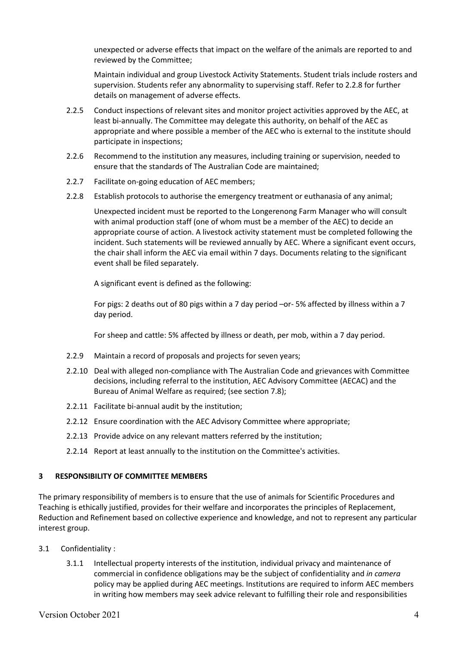unexpected or adverse effects that impact on the welfare of the animals are reported to and reviewed by the Committee;

Maintain individual and group Livestock Activity Statements. Student trials include rosters and supervision. Students refer any abnormality to supervising staff. Refer to 2.2.8 for further details on management of adverse effects.

- 2.2.5 Conduct inspections of relevant sites and monitor project activities approved by the AEC, at least bi-annually. The Committee may delegate this authority, on behalf of the AEC as appropriate and where possible a member of the AEC who is external to the institute should participate in inspections;
- 2.2.6 Recommend to the institution any measures, including training or supervision, needed to ensure that the standards of The Australian Code are maintained;
- 2.2.7 Facilitate on-going education of AEC members;
- 2.2.8 Establish protocols to authorise the emergency treatment or euthanasia of any animal;

Unexpected incident must be reported to the Longerenong Farm Manager who will consult with animal production staff (one of whom must be a member of the AEC) to decide an appropriate course of action. A livestock activity statement must be completed following the incident. Such statements will be reviewed annually by AEC. Where a significant event occurs, the chair shall inform the AEC via email within 7 days. Documents relating to the significant event shall be filed separately.

A significant event is defined as the following:

For pigs: 2 deaths out of 80 pigs within a 7 day period –or- 5% affected by illness within a 7 day period.

For sheep and cattle: 5% affected by illness or death, per mob, within a 7 day period.

- 2.2.9 Maintain a record of proposals and projects for seven years;
- 2.2.10 Deal with alleged non-compliance with The Australian Code and grievances with Committee decisions, including referral to the institution, AEC Advisory Committee (AECAC) and the Bureau of Animal Welfare as required; (see section 7.8);
- 2.2.11 Facilitate bi-annual audit by the institution;
- 2.2.12 Ensure coordination with the AEC Advisory Committee where appropriate;
- 2.2.13 Provide advice on any relevant matters referred by the institution;
- 2.2.14 Report at least annually to the institution on the Committee's activities.

#### **3 RESPONSIBILITY OF COMMITTEE MEMBERS**

The primary responsibility of members is to ensure that the use of animals for Scientific Procedures and Teaching is ethically justified, provides for their welfare and incorporates the principles of Replacement, Reduction and Refinement based on collective experience and knowledge, and not to represent any particular interest group.

- 3.1 Confidentiality :
	- 3.1.1 Intellectual property interests of the institution, individual privacy and maintenance of commercial in confidence obligations may be the subject of confidentiality and *in camera* policy may be applied during AEC meetings. Institutions are required to inform AEC members in writing how members may seek advice relevant to fulfilling their role and responsibilities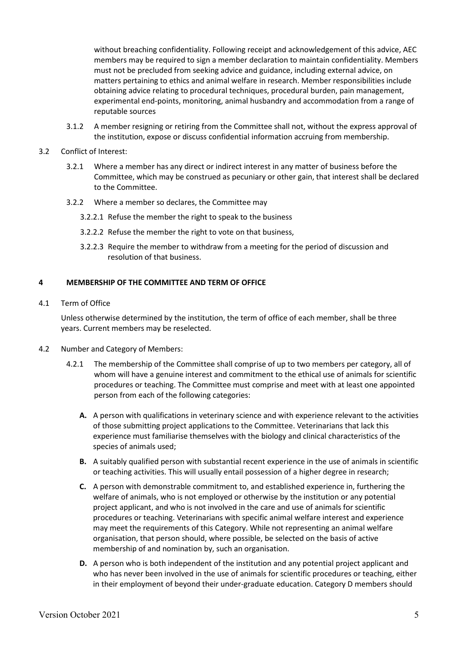without breaching confidentiality. Following receipt and acknowledgement of this advice, AEC members may be required to sign a member declaration to maintain confidentiality. Members must not be precluded from seeking advice and guidance, including external advice, on matters pertaining to ethics and animal welfare in research. Member responsibilities include obtaining advice relating to procedural techniques, procedural burden, pain management, experimental end-points, monitoring, animal husbandry and accommodation from a range of reputable sources

- 3.1.2 A member resigning or retiring from the Committee shall not, without the express approval of the institution, expose or discuss confidential information accruing from membership.
- 3.2 Conflict of Interest:
	- 3.2.1 Where a member has any direct or indirect interest in any matter of business before the Committee, which may be construed as pecuniary or other gain, that interest shall be declared to the Committee.
	- 3.2.2 Where a member so declares, the Committee may
		- 3.2.2.1 Refuse the member the right to speak to the business
		- 3.2.2.2 Refuse the member the right to vote on that business,
		- 3.2.2.3 Require the member to withdraw from a meeting for the period of discussion and resolution of that business.

#### **4 MEMBERSHIP OF THE COMMITTEE AND TERM OF OFFICE**

4.1 Term of Office

Unless otherwise determined by the institution, the term of office of each member, shall be three years. Current members may be reselected.

- 4.2 Number and Category of Members:
	- 4.2.1 The membership of the Committee shall comprise of up to two members per category, all of whom will have a genuine interest and commitment to the ethical use of animals for scientific procedures or teaching. The Committee must comprise and meet with at least one appointed person from each of the following categories:
		- **A.** A person with qualifications in veterinary science and with experience relevant to the activities of those submitting project applications to the Committee. Veterinarians that lack this experience must familiarise themselves with the biology and clinical characteristics of the species of animals used;
		- **B.** A suitably qualified person with substantial recent experience in the use of animals in scientific or teaching activities. This will usually entail possession of a higher degree in research;
		- **C.** A person with demonstrable commitment to, and established experience in, furthering the welfare of animals, who is not employed or otherwise by the institution or any potential project applicant, and who is not involved in the care and use of animals for scientific procedures or teaching. Veterinarians with specific animal welfare interest and experience may meet the requirements of this Category. While not representing an animal welfare organisation, that person should, where possible, be selected on the basis of active membership of and nomination by, such an organisation.
		- **D.** A person who is both independent of the institution and any potential project applicant and who has never been involved in the use of animals for scientific procedures or teaching, either in their employment of beyond their under-graduate education. Category D members should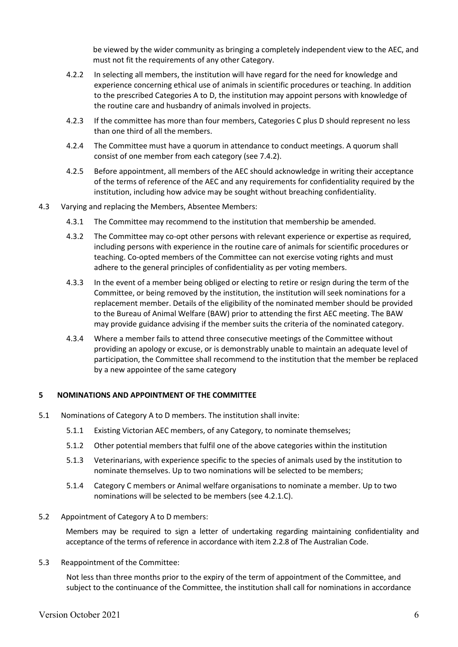be viewed by the wider community as bringing a completely independent view to the AEC, and must not fit the requirements of any other Category.

- 4.2.2 In selecting all members, the institution will have regard for the need for knowledge and experience concerning ethical use of animals in scientific procedures or teaching. In addition to the prescribed Categories A to D, the institution may appoint persons with knowledge of the routine care and husbandry of animals involved in projects.
- 4.2.3 If the committee has more than four members, Categories C plus D should represent no less than one third of all the members.
- 4.2.4 The Committee must have a quorum in attendance to conduct meetings. A quorum shall consist of one member from each category (see 7.4.2).
- 4.2.5 Before appointment, all members of the AEC should acknowledge in writing their acceptance of the terms of reference of the AEC and any requirements for confidentiality required by the institution, including how advice may be sought without breaching confidentiality.
- 4.3 Varying and replacing the Members, Absentee Members:
	- 4.3.1 The Committee may recommend to the institution that membership be amended.
	- 4.3.2 The Committee may co-opt other persons with relevant experience or expertise as required, including persons with experience in the routine care of animals for scientific procedures or teaching. Co-opted members of the Committee can not exercise voting rights and must adhere to the general principles of confidentiality as per voting members.
	- 4.3.3 In the event of a member being obliged or electing to retire or resign during the term of the Committee, or being removed by the institution, the institution will seek nominations for a replacement member. Details of the eligibility of the nominated member should be provided to the Bureau of Animal Welfare (BAW) prior to attending the first AEC meeting. The BAW may provide guidance advising if the member suits the criteria of the nominated category.
	- 4.3.4 Where a member fails to attend three consecutive meetings of the Committee without providing an apology or excuse, or is demonstrably unable to maintain an adequate level of participation, the Committee shall recommend to the institution that the member be replaced by a new appointee of the same category

#### **5 NOMINATIONS AND APPOINTMENT OF THE COMMITTEE**

- 5.1 Nominations of Category A to D members. The institution shall invite:
	- 5.1.1 Existing Victorian AEC members, of any Category, to nominate themselves;
	- 5.1.2 Other potential members that fulfil one of the above categories within the institution
	- 5.1.3 Veterinarians, with experience specific to the species of animals used by the institution to nominate themselves. Up to two nominations will be selected to be members;
	- 5.1.4 Category C members or Animal welfare organisations to nominate a member. Up to two nominations will be selected to be members (see 4.2.1.C).
- 5.2 Appointment of Category A to D members:

Members may be required to sign a letter of undertaking regarding maintaining confidentiality and acceptance of the terms of reference in accordance with item 2.2.8 of The Australian Code.

5.3 Reappointment of the Committee:

Not less than three months prior to the expiry of the term of appointment of the Committee, and subject to the continuance of the Committee, the institution shall call for nominations in accordance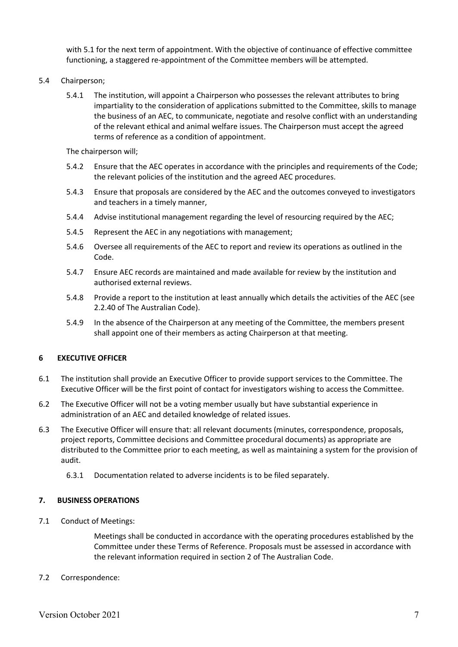with 5.1 for the next term of appointment. With the objective of continuance of effective committee functioning, a staggered re-appointment of the Committee members will be attempted.

- 5.4 Chairperson;
	- 5.4.1 The institution, will appoint a Chairperson who possesses the relevant attributes to bring impartiality to the consideration of applications submitted to the Committee, skills to manage the business of an AEC, to communicate, negotiate and resolve conflict with an understanding of the relevant ethical and animal welfare issues. The Chairperson must accept the agreed terms of reference as a condition of appointment.

The chairperson will;

- 5.4.2 Ensure that the AEC operates in accordance with the principles and requirements of the Code; the relevant policies of the institution and the agreed AEC procedures.
- 5.4.3 Ensure that proposals are considered by the AEC and the outcomes conveyed to investigators and teachers in a timely manner,
- 5.4.4 Advise institutional management regarding the level of resourcing required by the AEC;
- 5.4.5 Represent the AEC in any negotiations with management;
- 5.4.6 Oversee all requirements of the AEC to report and review its operations as outlined in the Code.
- 5.4.7 Ensure AEC records are maintained and made available for review by the institution and authorised external reviews.
- 5.4.8 Provide a report to the institution at least annually which details the activities of the AEC (see 2.2.40 of The Australian Code).
- 5.4.9 In the absence of the Chairperson at any meeting of the Committee, the members present shall appoint one of their members as acting Chairperson at that meeting.

#### **6 EXECUTIVE OFFICER**

- 6.1 The institution shall provide an Executive Officer to provide support services to the Committee. The Executive Officer will be the first point of contact for investigators wishing to access the Committee.
- 6.2 The Executive Officer will not be a voting member usually but have substantial experience in administration of an AEC and detailed knowledge of related issues.
- 6.3 The Executive Officer will ensure that: all relevant documents (minutes, correspondence, proposals, project reports, Committee decisions and Committee procedural documents) as appropriate are distributed to the Committee prior to each meeting, as well as maintaining a system for the provision of audit.
	- 6.3.1 Documentation related to adverse incidents is to be filed separately.

#### **7. BUSINESS OPERATIONS**

7.1 Conduct of Meetings:

Meetings shall be conducted in accordance with the operating procedures established by the Committee under these Terms of Reference. Proposals must be assessed in accordance with the relevant information required in section 2 of The Australian Code.

#### 7.2 Correspondence: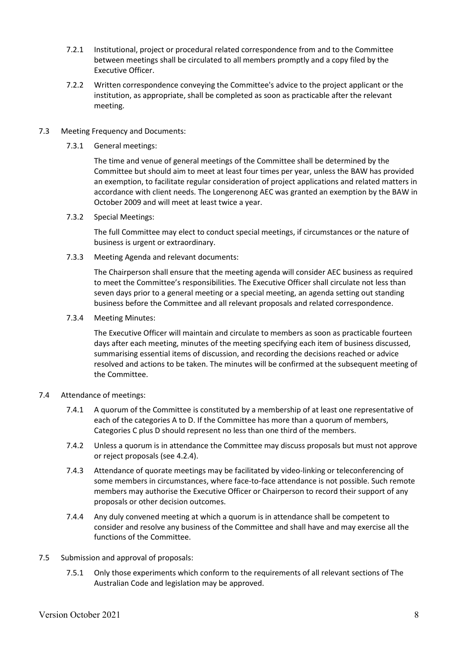- 7.2.1 Institutional, project or procedural related correspondence from and to the Committee between meetings shall be circulated to all members promptly and a copy filed by the Executive Officer.
- 7.2.2 Written correspondence conveying the Committee's advice to the project applicant or the institution, as appropriate, shall be completed as soon as practicable after the relevant meeting.

### 7.3 Meeting Frequency and Documents:

7.3.1 General meetings:

The time and venue of general meetings of the Committee shall be determined by the Committee but should aim to meet at least four times per year, unless the BAW has provided an exemption, to facilitate regular consideration of project applications and related matters in accordance with client needs. The Longerenong AEC was granted an exemption by the BAW in October 2009 and will meet at least twice a year.

7.3.2 Special Meetings:

The full Committee may elect to conduct special meetings, if circumstances or the nature of business is urgent or extraordinary.

7.3.3 Meeting Agenda and relevant documents:

The Chairperson shall ensure that the meeting agenda will consider AEC business as required to meet the Committee's responsibilities. The Executive Officer shall circulate not less than seven days prior to a general meeting or a special meeting, an agenda setting out standing business before the Committee and all relevant proposals and related correspondence.

7.3.4 Meeting Minutes:

The Executive Officer will maintain and circulate to members as soon as practicable fourteen days after each meeting, minutes of the meeting specifying each item of business discussed, summarising essential items of discussion, and recording the decisions reached or advice resolved and actions to be taken. The minutes will be confirmed at the subsequent meeting of the Committee.

## 7.4 Attendance of meetings:

- 7.4.1 A quorum of the Committee is constituted by a membership of at least one representative of each of the categories A to D. If the Committee has more than a quorum of members, Categories C plus D should represent no less than one third of the members.
- 7.4.2 Unless a quorum is in attendance the Committee may discuss proposals but must not approve or reject proposals (see 4.2.4).
- 7.4.3 Attendance of quorate meetings may be facilitated by video-linking or teleconferencing of some members in circumstances, where face-to-face attendance is not possible. Such remote members may authorise the Executive Officer or Chairperson to record their support of any proposals or other decision outcomes.
- 7.4.4 Any duly convened meeting at which a quorum is in attendance shall be competent to consider and resolve any business of the Committee and shall have and may exercise all the functions of the Committee.
- 7.5 Submission and approval of proposals:
	- 7.5.1 Only those experiments which conform to the requirements of all relevant sections of The Australian Code and legislation may be approved.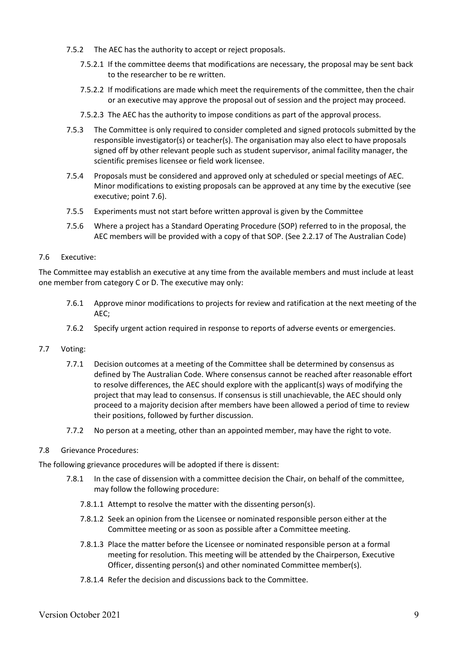- 7.5.2 The AEC has the authority to accept or reject proposals.
	- 7.5.2.1 If the committee deems that modifications are necessary, the proposal may be sent back to the researcher to be re written.
	- 7.5.2.2 If modifications are made which meet the requirements of the committee, then the chair or an executive may approve the proposal out of session and the project may proceed.
	- 7.5.2.3 The AEC has the authority to impose conditions as part of the approval process.
- 7.5.3 The Committee is only required to consider completed and signed protocols submitted by the responsible investigator(s) or teacher(s). The organisation may also elect to have proposals signed off by other relevant people such as student supervisor, animal facility manager, the scientific premises licensee or field work licensee.
- 7.5.4 Proposals must be considered and approved only at scheduled or special meetings of AEC. Minor modifications to existing proposals can be approved at any time by the executive (see executive; point 7.6).
- 7.5.5 Experiments must not start before written approval is given by the Committee
- 7.5.6 Where a project has a Standard Operating Procedure (SOP) referred to in the proposal, the AEC members will be provided with a copy of that SOP. (See 2.2.17 of The Australian Code)

#### 7.6 Executive:

The Committee may establish an executive at any time from the available members and must include at least one member from category C or D. The executive may only:

- 7.6.1 Approve minor modifications to projects for review and ratification at the next meeting of the AEC;
- 7.6.2 Specify urgent action required in response to reports of adverse events or emergencies.

#### 7.7 Voting:

- 7.7.1 Decision outcomes at a meeting of the Committee shall be determined by consensus as defined by The Australian Code. Where consensus cannot be reached after reasonable effort to resolve differences, the AEC should explore with the applicant(s) ways of modifying the project that may lead to consensus. If consensus is still unachievable, the AEC should only proceed to a majority decision after members have been allowed a period of time to review their positions, followed by further discussion.
- 7.7.2 No person at a meeting, other than an appointed member, may have the right to vote.
- 7.8 Grievance Procedures:

The following grievance procedures will be adopted if there is dissent:

- 7.8.1 In the case of dissension with a committee decision the Chair, on behalf of the committee, may follow the following procedure:
	- 7.8.1.1 Attempt to resolve the matter with the dissenting person(s).
	- 7.8.1.2 Seek an opinion from the Licensee or nominated responsible person either at the Committee meeting or as soon as possible after a Committee meeting.
	- 7.8.1.3 Place the matter before the Licensee or nominated responsible person at a formal meeting for resolution. This meeting will be attended by the Chairperson, Executive Officer, dissenting person(s) and other nominated Committee member(s).
	- 7.8.1.4 Refer the decision and discussions back to the Committee.